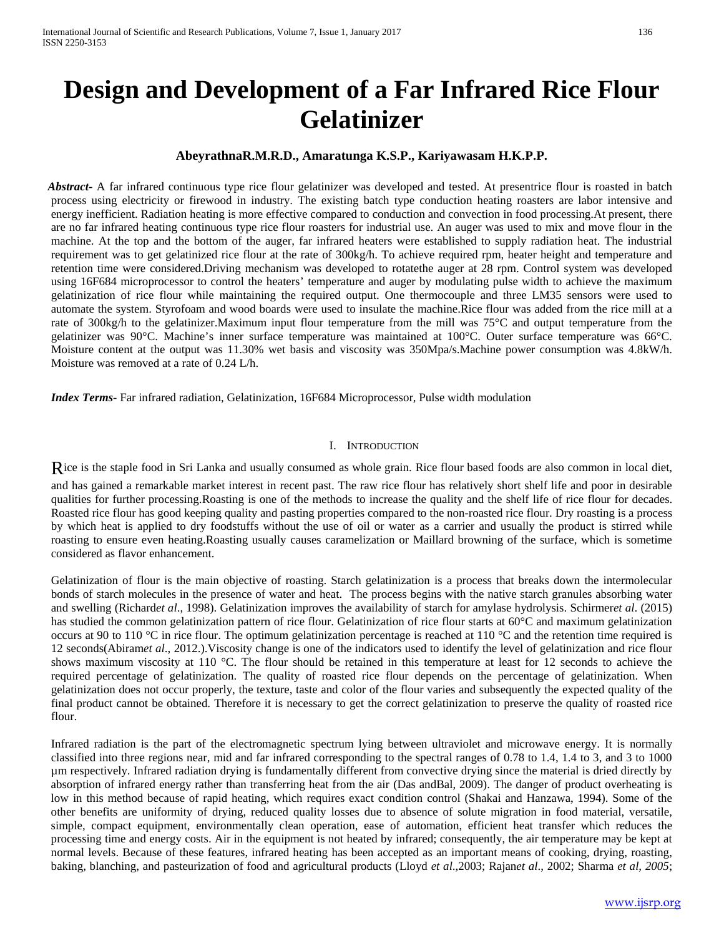# **Design and Development of a Far Infrared Rice Flour Gelatinizer**

## **AbeyrathnaR.M.R.D., Amaratunga K.S.P., Kariyawasam H.K.P.P.**

*Abstract***-** A far infrared continuous type rice flour gelatinizer was developed and tested. At presentrice flour is roasted in batch process using electricity or firewood in industry. The existing batch type conduction heating roasters are labor intensive and energy inefficient. Radiation heating is more effective compared to conduction and convection in food processing.At present, there are no far infrared heating continuous type rice flour roasters for industrial use. An auger was used to mix and move flour in the machine. At the top and the bottom of the auger, far infrared heaters were established to supply radiation heat. The industrial requirement was to get gelatinized rice flour at the rate of 300kg/h. To achieve required rpm, heater height and temperature and retention time were considered.Driving mechanism was developed to rotatethe auger at 28 rpm. Control system was developed using 16F684 microprocessor to control the heaters' temperature and auger by modulating pulse width to achieve the maximum gelatinization of rice flour while maintaining the required output. One thermocouple and three LM35 sensors were used to automate the system. Styrofoam and wood boards were used to insulate the machine.Rice flour was added from the rice mill at a rate of 300kg/h to the gelatinizer.Maximum input flour temperature from the mill was 75°C and output temperature from the gelatinizer was 90°C. Machine's inner surface temperature was maintained at 100°C. Outer surface temperature was 66°C. Moisture content at the output was 11.30% wet basis and viscosity was 350Mpa/s.Machine power consumption was 4.8kW/h. Moisture was removed at a rate of 0.24 L/h.

*Index Terms*- Far infrared radiation, Gelatinization, 16F684 Microprocessor, Pulse width modulation

### I. INTRODUCTION

Rice is the staple food in Sri Lanka and usually consumed as whole grain. Rice flour based foods are also common in local diet,

and has gained a remarkable market interest in recent past. The raw rice flour has relatively short shelf life and poor in desirable qualities for further processing.Roasting is one of the methods to increase the quality and the shelf life of rice flour for decades. Roasted rice flour has good keeping quality and pasting properties compared to the non-roasted rice flour. Dry roasting is a process by which heat is applied to dry foodstuffs without the use of oil or water as a carrier and usually the product is stirred while roasting to ensure even heating.Roasting usually causes caramelization or Maillard browning of the surface, which is sometime considered as flavor enhancement.

Gelatinization of flour is the main objective of roasting. Starch gelatinization is a process that breaks down the intermolecular bonds of starch molecules in the presence of water and heat. The process begins with the native starch granules absorbing water and swelling (Richard*et al*., 1998). Gelatinization improves the availability of starch for amylase hydrolysis. Schirmer*et al*. (2015) has studied the common gelatinization pattern of rice flour. Gelatinization of rice flour starts at 60°C and maximum gelatinization occurs at 90 to 110 °C in rice flour. The optimum gelatinization percentage is reached at 110 °C and the retention time required is 12 seconds(Abiram*et al*., 2012.).Viscosity change is one of the indicators used to identify the level of gelatinization and rice flour shows maximum viscosity at 110 °C. The flour should be retained in this temperature at least for 12 seconds to achieve the required percentage of gelatinization. The quality of roasted rice flour depends on the percentage of gelatinization. When gelatinization does not occur properly, the texture, taste and color of the flour varies and subsequently the expected quality of the final product cannot be obtained. Therefore it is necessary to get the correct gelatinization to preserve the quality of roasted rice flour.

Infrared radiation is the part of the electromagnetic spectrum lying between ultraviolet and microwave energy. It is normally classified into three regions near, mid and far infrared corresponding to the spectral ranges of 0.78 to 1.4, 1.4 to 3, and 3 to 1000 µm respectively. Infrared radiation drying is fundamentally different from convective drying since the material is dried directly by absorption of infrared energy rather than transferring heat from the air (Das andBal, 2009). The danger of product overheating is low in this method because of rapid heating, which requires exact condition control (Shakai and Hanzawa, 1994). Some of the other benefits are uniformity of drying, reduced quality losses due to absence of solute migration in food material, versatile, simple, compact equipment, environmentally clean operation, ease of automation, efficient heat transfer which reduces the processing time and energy costs. Air in the equipment is not heated by infrared; consequently, the air temperature may be kept at normal levels. Because of these features, infrared heating has been accepted as an important means of cooking, drying, roasting, baking, blanching, and pasteurization of food and agricultural products (Lloyd *et al*.,2003; Rajan*et al*., 2002; Sharma *et al, 2005*;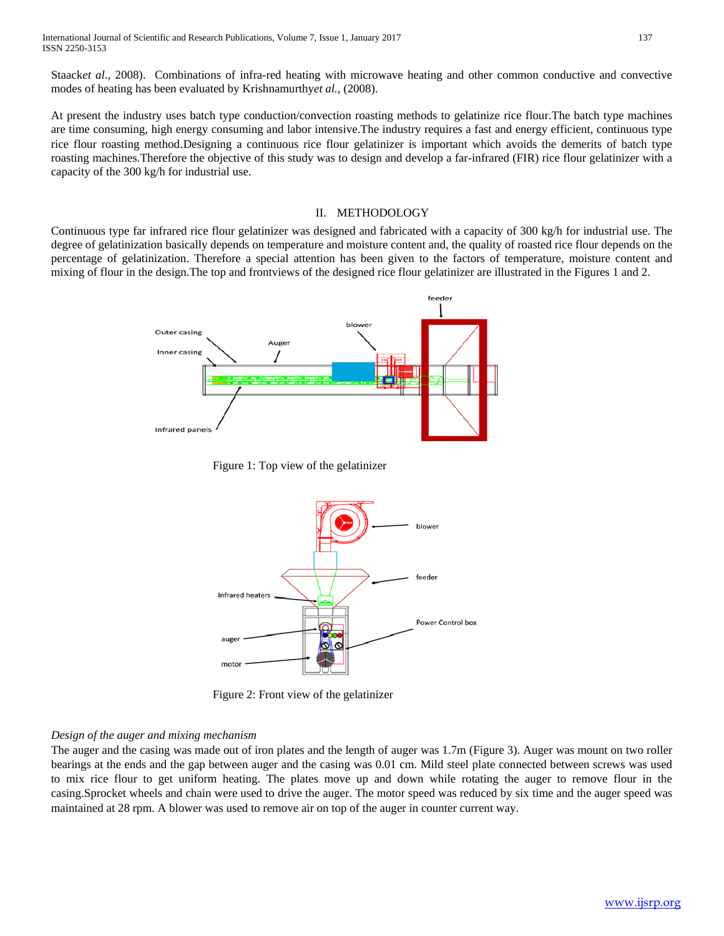Staack*et al*., 2008). Combinations of infra-red heating with microwave heating and other common conductive and convective modes of heating has been evaluated by Krishnamurthy*et al.,* (2008).

At present the industry uses batch type conduction/convection roasting methods to gelatinize rice flour.The batch type machines are time consuming, high energy consuming and labor intensive.The industry requires a fast and energy efficient, continuous type rice flour roasting method.Designing a continuous rice flour gelatinizer is important which avoids the demerits of batch type roasting machines.Therefore the objective of this study was to design and develop a far-infrared (FIR) rice flour gelatinizer with a capacity of the 300 kg/h for industrial use.

## II. METHODOLOGY

Continuous type far infrared rice flour gelatinizer was designed and fabricated with a capacity of 300 kg/h for industrial use. The degree of gelatinization basically depends on temperature and moisture content and, the quality of roasted rice flour depends on the percentage of gelatinization. Therefore a special attention has been given to the factors of temperature, moisture content and mixing of flour in the design.The top and frontviews of the designed rice flour gelatinizer are illustrated in the Figures 1 and 2.



Figure 1: Top view of the gelatinizer



Figure 2: Front view of the gelatinizer

## *Design of the auger and mixing mechanism*

The auger and the casing was made out of iron plates and the length of auger was 1.7m (Figure 3). Auger was mount on two roller bearings at the ends and the gap between auger and the casing was 0.01 cm. Mild steel plate connected between screws was used to mix rice flour to get uniform heating. The plates move up and down while rotating the auger to remove flour in the casing.Sprocket wheels and chain were used to drive the auger. The motor speed was reduced by six time and the auger speed was maintained at 28 rpm. A blower was used to remove air on top of the auger in counter current way.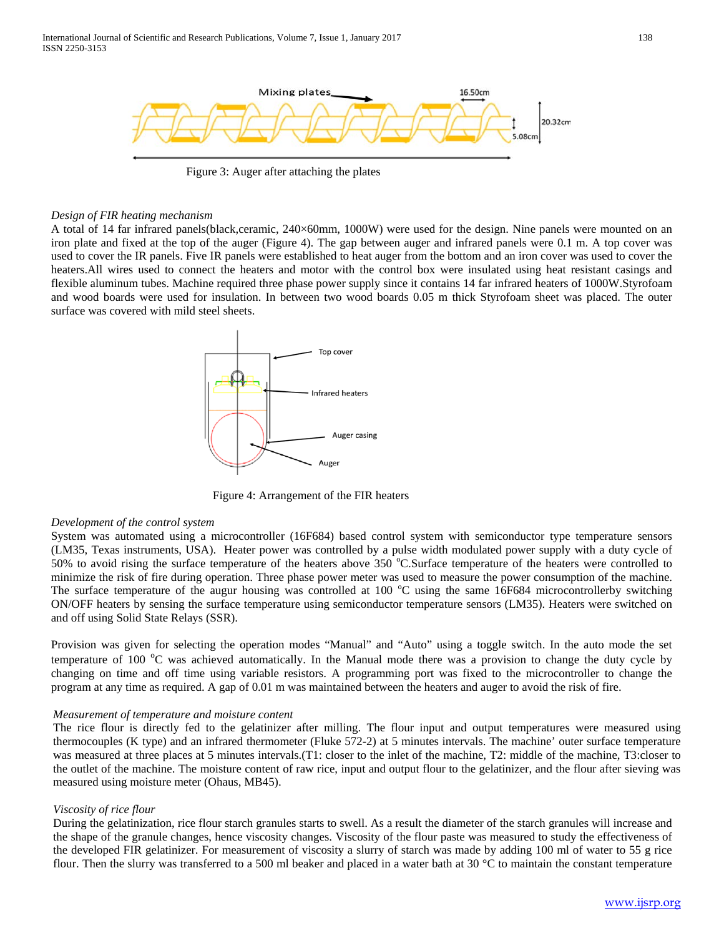

Figure 3: Auger after attaching the plates

## *Design of FIR heating mechanism*

A total of 14 far infrared panels(black,ceramic, 240×60mm, 1000W) were used for the design. Nine panels were mounted on an iron plate and fixed at the top of the auger (Figure 4). The gap between auger and infrared panels were 0.1 m. A top cover was used to cover the IR panels. Five IR panels were established to heat auger from the bottom and an iron cover was used to cover the heaters.All wires used to connect the heaters and motor with the control box were insulated using heat resistant casings and flexible aluminum tubes. Machine required three phase power supply since it contains 14 far infrared heaters of 1000W.Styrofoam and wood boards were used for insulation. In between two wood boards 0.05 m thick Styrofoam sheet was placed. The outer surface was covered with mild steel sheets.



Figure 4: Arrangement of the FIR heaters

#### *Development of the control system*

System was automated using a microcontroller (16F684) based control system with semiconductor type temperature sensors (LM35, Texas instruments, USA). Heater power was controlled by a pulse width modulated power supply with a duty cycle of 50% to avoid rising the surface temperature of the heaters above  $350^{\circ}$ C.Surface temperature of the heaters were controlled to minimize the risk of fire during operation. Three phase power meter was used to measure the power consumption of the machine. The surface temperature of the augur housing was controlled at 100 °C using the same 16F684 microcontrollerby switching ON/OFF heaters by sensing the surface temperature using semiconductor temperature sensors (LM35). Heaters were switched on and off using Solid State Relays (SSR).

Provision was given for selecting the operation modes "Manual" and "Auto" using a toggle switch. In the auto mode the set temperature of  $100\text{ °C}$  was achieved automatically. In the Manual mode there was a provision to change the duty cycle by changing on time and off time using variable resistors. A programming port was fixed to the microcontroller to change the program at any time as required. A gap of 0.01 m was maintained between the heaters and auger to avoid the risk of fire.

#### *Measurement of temperature and moisture content*

The rice flour is directly fed to the gelatinizer after milling. The flour input and output temperatures were measured using thermocouples (K type) and an infrared thermometer (Fluke 572-2) at 5 minutes intervals. The machine' outer surface temperature was measured at three places at 5 minutes intervals.(T1: closer to the inlet of the machine, T2: middle of the machine, T3:closer to the outlet of the machine. The moisture content of raw rice, input and output flour to the gelatinizer, and the flour after sieving was measured using moisture meter (Ohaus, MB45).

#### *Viscosity of rice flour*

During the gelatinization, rice flour starch granules starts to swell. As a result the diameter of the starch granules will increase and the shape of the granule changes, hence viscosity changes. Viscosity of the flour paste was measured to study the effectiveness of the developed FIR gelatinizer. For measurement of viscosity a slurry of starch was made by adding 100 ml of water to 55 g rice flour. Then the slurry was transferred to a 500 ml beaker and placed in a water bath at 30  $\degree$ C to maintain the constant temperature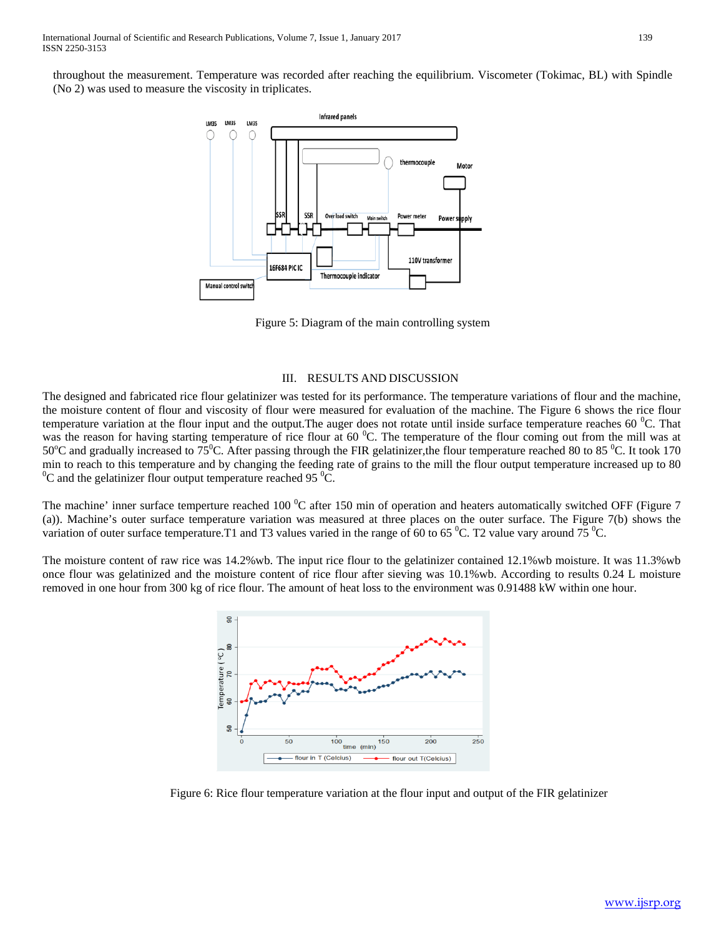throughout the measurement. Temperature was recorded after reaching the equilibrium. Viscometer (Tokimac, BL) with Spindle (No 2) was used to measure the viscosity in triplicates.



Figure 5: Diagram of the main controlling system

## III. RESULTS AND DISCUSSION

The designed and fabricated rice flour gelatinizer was tested for its performance. The temperature variations of flour and the machine, the moisture content of flour and viscosity of flour were measured for evaluation of the machine. The Figure 6 shows the rice flour temperature variation at the flour input and the output. The auger does not rotate until inside surface temperature reaches 60  $^0C$ . That was the reason for having starting temperature of rice flour at 60  $^{\circ}$ C. The temperature of the flour coming out from the mill was at 50°C and gradually increased to 75°C. After passing through the FIR gelatinizer, the flour temperature reached 80 to 85 °C. It took 170 min to reach to this temperature and by changing the feeding rate of grains to the mill the flour output temperature increased up to 80 C and the gelatinizer flour output temperature reached 95 $\mathrm{^{0}C}$ .

The machine' inner surface temperture reached 100  $^0C$  after 150 min of operation and heaters automatically switched OFF (Figure 7 (a)). Machine's outer surface temperature variation was measured at three places on the outer surface. The Figure 7(b) shows the variation of outer surface temperature. T1 and T3 values varied in the range of 60 to 65  $^0$ C. T2 value vary around 75  $^0$ C.

The moisture content of raw rice was 14.2%wb. The input rice flour to the gelatinizer contained 12.1%wb moisture. It was 11.3%wb once flour was gelatinized and the moisture content of rice flour after sieving was 10.1%wb. According to results 0.24 L moisture removed in one hour from 300 kg of rice flour. The amount of heat loss to the environment was 0.91488 kW within one hour.



Figure 6: Rice flour temperature variation at the flour input and output of the FIR gelatinizer